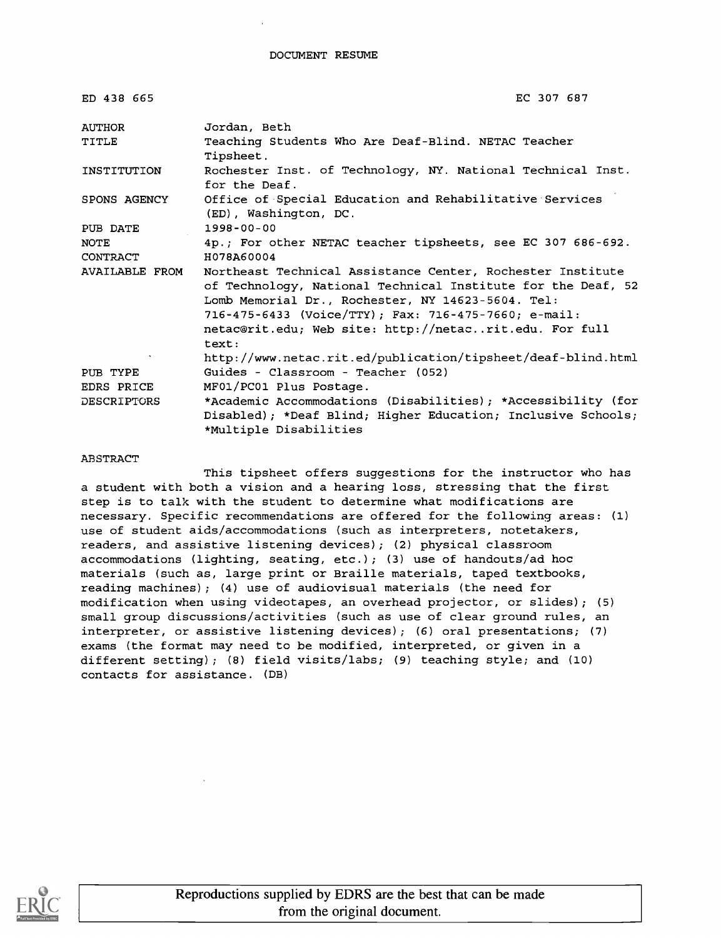| ED 438 665     | EC 307 687                                                                                                                                                                                                                                                                                                 |
|----------------|------------------------------------------------------------------------------------------------------------------------------------------------------------------------------------------------------------------------------------------------------------------------------------------------------------|
| AUTHOR         | Jordan, Beth                                                                                                                                                                                                                                                                                               |
| TITLE          | Teaching Students Who Are Deaf-Blind. NETAC Teacher<br>Tipsheet.                                                                                                                                                                                                                                           |
| INSTITUTION    | Rochester Inst. of Technology, NY. National Technical Inst.<br>for the Deaf.                                                                                                                                                                                                                               |
| SPONS AGENCY   | Office of Special Education and Rehabilitative Services<br>(ED), Washington, DC.                                                                                                                                                                                                                           |
| PUB DATE       | $1998 - 00 - 00$                                                                                                                                                                                                                                                                                           |
| <b>NOTE</b>    | 4p.; For other NETAC teacher tipsheets, see EC 307 686-692.                                                                                                                                                                                                                                                |
| CONTRACT       | H078A60004                                                                                                                                                                                                                                                                                                 |
| AVAILABLE FROM | Northeast Technical Assistance Center, Rochester Institute<br>of Technology, National Technical Institute for the Deaf, 52<br>Lomb Memorial Dr., Rochester, NY 14623-5604. Tel:<br>716-475-6433 (Voice/TTY); Fax: 716-475-7660; e-mail:<br>netac@rit.edu; Web site: http://netacrit.edu. For full<br>text: |
|                | http://www.netac.rit.ed/publication/tipsheet/deaf-blind.html                                                                                                                                                                                                                                               |
| PUB TYPE       | Guides - Classroom - Teacher (052)                                                                                                                                                                                                                                                                         |
| EDRS PRICE     | MF01/PC01 Plus Postage.                                                                                                                                                                                                                                                                                    |
| DESCRIPTORS    | *Academic Accommodations (Disabilities); *Accessibility (for<br>Disabled); *Deaf Blind; Higher Education; Inclusive Schools;<br>*Multiple Disabilities                                                                                                                                                     |

ABSTRACT

This tipsheet offers suggestions for the instructor who has a student with both a vision and a hearing loss, stressing that the first step is to talk with the student to determine what modifications are necessary. Specific recommendations are offered for the following areas: (1) use of student aids/accommodations (such as interpreters, notetakers, readers, and assistive listening devices); (2) physical classroom accommodations (lighting, seating, etc.); (3) use of handouts/ad hoc materials (such as, large print or Braille materials, taped textbooks, reading machines); (4) use of audiovisual materials (the need for modification when using videotapes, an overhead projector, or slides); (5) small group discussions/activities (such as use of clear ground rules, an interpreter, or assistive listening devices); (6) oral presentations; (7) exams (the format may need to be modified, interpreted, or given in a different setting); (8) field visits/labs; (9) teaching style; and (10) contacts for assistance. (DB)

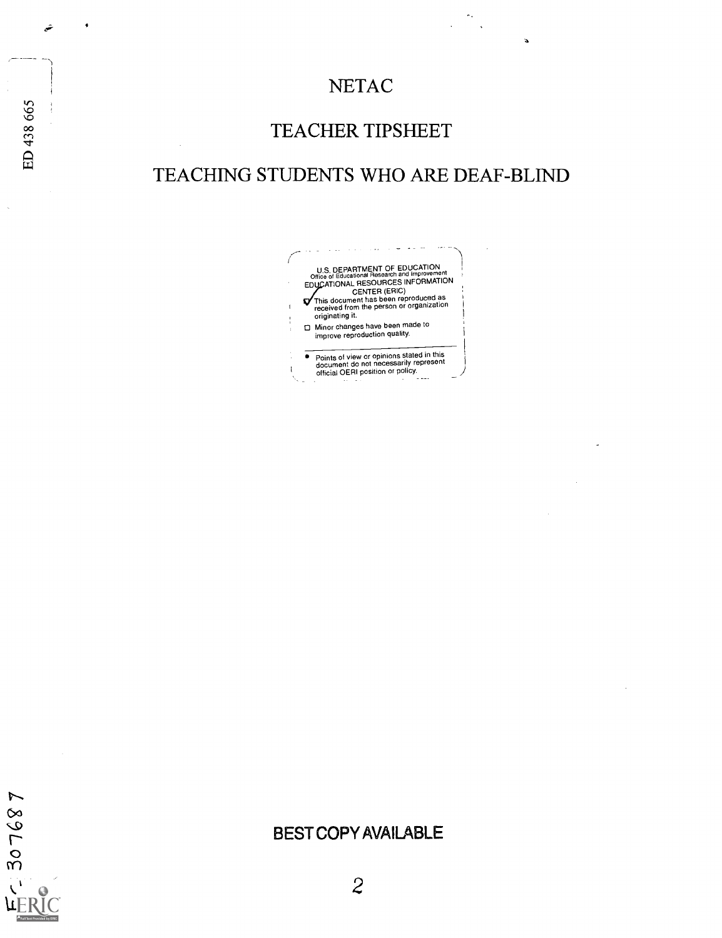$\frac{1}{\sqrt{2}}\sum_{i=1}^{n} \frac{1}{\sqrt{2}}\left(\frac{1}{\sqrt{2}}\right)^2$ 

# co TEACHER TIPSHEET

## TEACHING STUDENTS WHO ARE DEAF-BLIND





شىر

#### BEST COPY AVAILABLE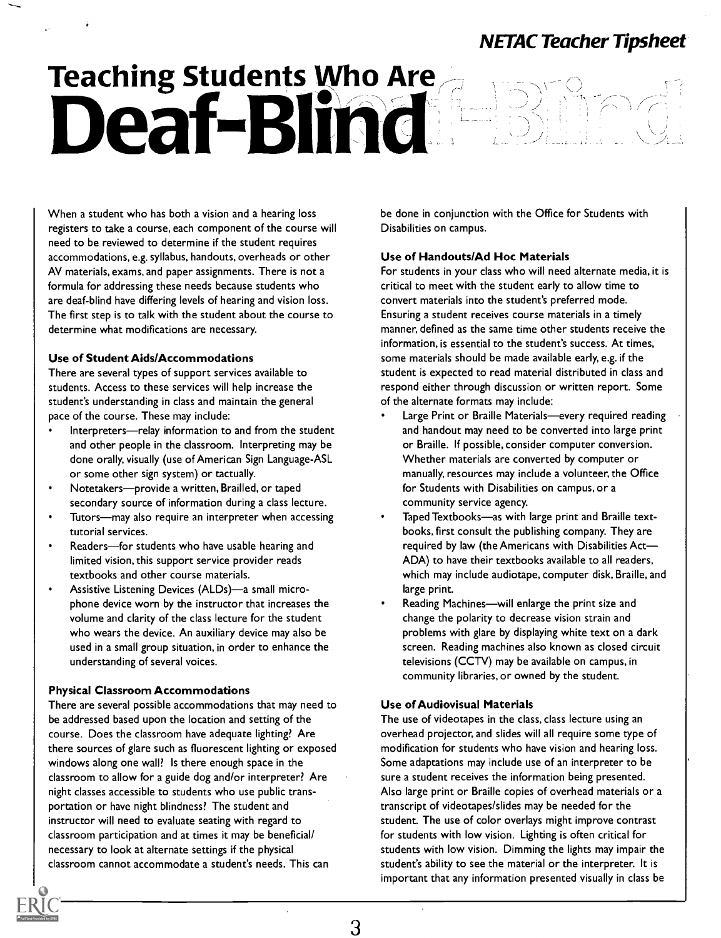## NETAC Teacher Tipsheet

# Teaching Students Who Are<br>Deaf-Blind

When a student who has both a vision and a hearing loss registers to take a course, each component of the course will need to be reviewed to determine if the student requires accommodations, e.g. syllabus, handouts, overheads or other AV materials, exams, and paper assignments. There is not a formula for addressing these needs because students who are deaf-blind have differing levels of hearing and vision loss. The first step is to talk with the student about the course to determine what modifications are necessary.

#### Use of Student Aids/Accommodations

There are several types of support services available to students. Access to these services will help increase the student's understanding in class and maintain the general pace of the course. These may include:

- Interpreters-relay information to and from the student and other people in the classroom. Interpreting may be done orally, visually (use of American Sign Language-ASL or some other sign system) or tactually.
- Notetakers-provide a written, Brailled, or taped secondary source of information during a class lecture.
- Tutors—may also require an interpreter when accessing tutorial services.
- Readers-for students who have usable hearing and limited vision, this support service provider reads textbooks and other course materials.
- Assistive Listening Devices (ALDs)—a small microphone device worn by the instructor that increases the volume and clarity of the class lecture for the student who wears the device. An auxiliary device may also be used in a small group situation, in order to enhance the understanding of several voices.

#### Physical Classroom Accommodations

There are several possible accommodations that may need to be addressed based upon the location and setting of the course. Does the classroom have adequate lighting? Are there sources of glare such as fluorescent lighting or exposed windows along one wall? Is there enough space in the classroom to allow for a guide dog and/or interpreter? Are night classes accessible to students who use public transportation or have night blindness? The student and instructor will need to evaluate seating with regard to classroom participation and at times it may be beneficial/ necessary to look at alternate settings if the physical classroom cannot accommodate a student's needs. This can

be done in conjunction with the Office for Students with Disabilities on campus.

#### Use of Handouts/Ad Hoc Materials

For students in your class who will need alternate media, it is critical to meet with the student early to allow time to convert materials into the student's preferred mode. Ensuring a student receives course materials in a timely manner, defined as the same time other students receive the information, is essential to the student's success. At times, some materials should be made available early, e.g. if the student is expected to read material distributed in class and respond either through discussion or written report. Some of the alternate formats may include:

- Large Print or Braille Materials-every required reading and handout may need to be converted into large print or Braille. If possible, consider computer conversion. Whether materials are converted by computer or manually, resources may include a volunteer, the Office for Students with Disabilities on campus, or a community service agency.
- Taped Textbooks-as with large print and Braille textbooks, first consult the publishing company. They are required by law (the Americans with Disabilities Act ADA) to have their textbooks available to all readers, which may include audiotape, computer disk, Braille, and large print.
- Reading Machines-will enlarge the print size and change the polarity to decrease vision strain and problems with glare by displaying white text on a dark screen. Reading machines also known as closed circuit televisions (CCTV) may be available on campus, in community libraries, or owned by the student.

#### Use of Audiovisual Materials

The use of videotapes in the class, class lecture using an overhead projector, and slides will all require some type of modification for students who have vision and hearing loss. Some adaptations may include use of an interpreter to be sure a student receives the information being presented. Also large print or Braille copies of overhead materials or a transcript of videotapes/slides may be needed for the student. The use of color overlays might improve contrast for students with low vision. Lighting is often critical for students with low vision. Dimming the lights may impair the student's ability to see the material or the interpreter. It is important that any information presented visually in class be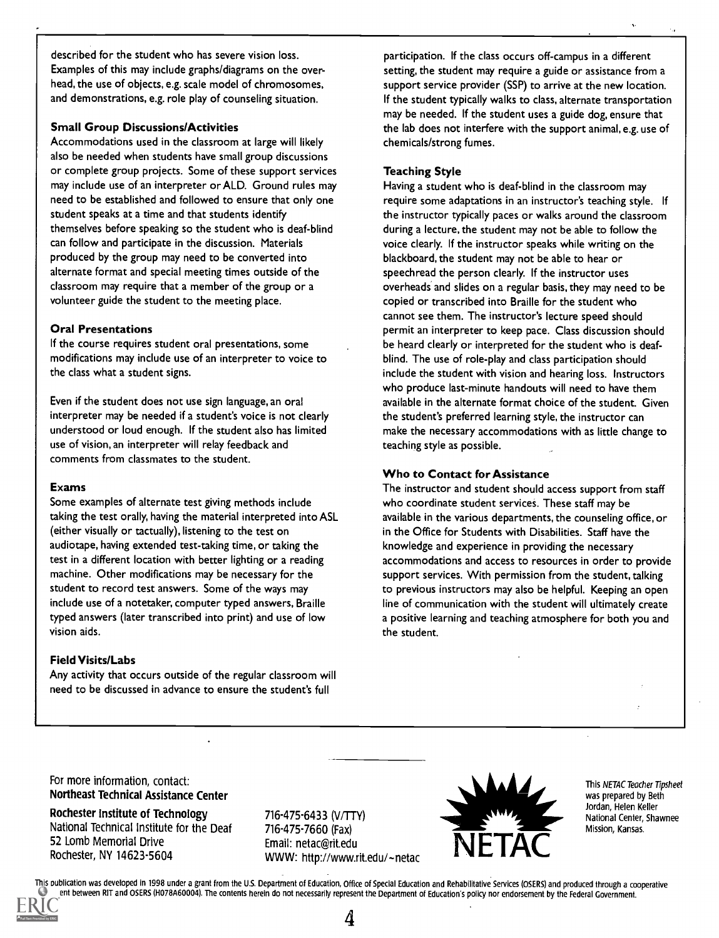described for the student who has severe vision loss. Examples of this may include graphs/diagrams on the overhead, the use of objects, e.g. scale model of chromosomes, and demonstrations, e.g. role play of counseling situation.

#### Small Group Discussions/Activities

Accommodations used in the classroom at large will likely also be needed when students have small group discussions or complete group projects. Some of these support services may include use of an interpreter or ALD. Ground rules may need to be established and followed to ensure that only one student speaks at a time and that students identify themselves before speaking so the student who is deaf-blind can follow and participate in the discussion. Materials produced by the group may need to be converted into alternate format and special meeting times outside of the classroom may require that a member of the group or a volunteer guide the student to the meeting place.

#### Oral Presentations

If the course requires student oral presentations, some modifications may include use of an interpreter to voice to the class what a student signs.

Even if the student does not use sign language, an oral interpreter may be needed if a student's voice is not clearly understood or loud enough. If the student also has limited use of vision, an interpreter will relay feedback and comments from classmates to the student.

#### Exams

Some examples of alternate test giving methods include taking the test orally, having the material interpreted into ASL (either visually or tactually), listening to the test on audiotape, having extended test-taking time, or taking the test in a different location with better lighting or a reading machine. Other modifications may be necessary for the student to record test answers. Some of the ways may include use of a notetaker, computer typed answers, Braille typed answers (later transcribed into print) and use of low vision aids.

#### Field Visits/Labs

Any activity that occurs outside of the regular classroom will need to be discussed in advance to ensure the student's full

participation. If the class occurs off-campus in a different setting, the student may require a guide or assistance from a support service provider (SSP) to arrive at the new location. If the student typically walks to class, alternate transportation may be needed. If the student uses a guide dog, ensure that the lab does not interfere with the support animal, e.g. use of chemicals/strong fumes.

#### Teaching Style

Having a student who is deaf-blind in the classroom may require some adaptations in an instructor's teaching style. If the instructor typically paces or walks around the classroom during a lecture, the student may not be able to follow the voice clearly. If the instructor speaks while writing on the blackboard, the student may not be able to hear or speechread the person clearly. If the instructor uses overheads and slides on a regular basis, they may need to be copied or transcribed into Braille for the student who cannot see them. The instructor's lecture speed should permit an interpreter to keep pace. Class discussion should be heard clearly or interpreted for the student who is deafblind. The use of role-play and class participation should include the student with vision and hearing loss. Instructors who produce last-minute handouts will need to have them available in the alternate format choice of the student. Given the student's preferred learning style, the instructor can make the necessary accommodations with as little change to teaching style as possible.

#### Who to Contact for Assistance

The instructor and student should access support from staff who coordinate student services. These staff may be available in the various departments, the counseling office, or in the Office for Students with Disabilities. Staff have the knowledge and experience in providing the necessary accommodations and access to resources in order to provide support services. With permission from the student, talking to previous instructors may also be helpful. Keeping an open line of communication with the student will ultimately create a positive learning and teaching atmosphere for both you and the student.

For more information, contact: Northeast Technical Assistance Center

Rochester Institute of Technology National Technical Institute for the Deaf 52 Lomb Memorial Drive Rochester, NY 14623-5604

716-475-6433 (V/TTY) 716-475-7660 (Fax) Email: netac@rit.edu WWW: http://www.rit.edu/~netac



This NETAC Teacher Tipsheet was prepared by Beth Jordan, Helen Keller National Center, Shawnee Mission, Kansas.

This publication was developed in 1998 under a grant from the U.S. Department of Education, Office of Special Education and Rehabilitative Services (OSERS) and produced through a cooperative agreement between RIT and OSERS (H078A60004). The contents herein do not necessarily represent the Department of Education's policy nor endorsement by the Federal Government.